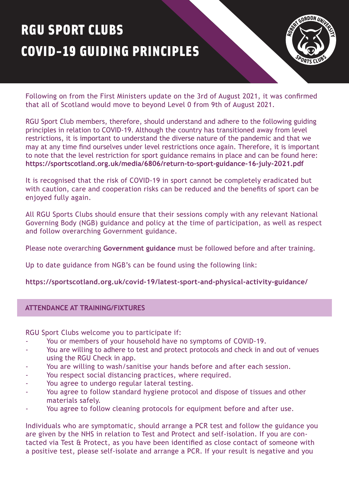# RGU SPORT CLUBS COVID-19 GUIDING PRINCIPLES



Following on from the First Ministers update on the 3rd of August 2021, it was confirmed that all of Scotland would move to beyond Level 0 from 9th of August 2021.

RGU Sport Club members, therefore, should understand and adhere to the following guiding principles in relation to COVID-19. Although the country has transitioned away from level restrictions, it is important to understand the diverse nature of the pandemic and that we may at any time find ourselves under level restrictions once again. Therefore, it is important to note that the level restriction for sport guidance remains in place and can be found here: **<https://sportscotland.org.uk/media/6806/return-to-sport-guidance-16-july-2021.pdf>** 

It is recognised that the risk of COVID-19 in sport cannot be completely eradicated but with caution, care and cooperation risks can be reduced and the benefits of sport can be enjoyed fully again.

All RGU Sports Clubs should ensure that their sessions comply with any relevant National Governing Body (NGB) guidance and policy at the time of participation, as well as respect and follow overarching Government guidance.

Please note overarching **[Government guidance](https://www.webarchive.org.uk/wayback/archive/*?url=www.gov.scot/publications/coronavirus-covid-19-protection-levels)** must be followed before and after training.

Up to date guidance from NGB's can be found using the following link:

# **<https://sportscotland.org.uk/covid-19/latest-sport-and-physical-activity-guidance/>**

## **ATTENDANCE AT TRAINING/FIXTURES**

RGU Sport Clubs welcome you to participate if:

- You or members of your household have no symptoms of COVID-19.
- You are willing to adhere to test and protect protocols and check in and out of venues using the RGU Check in app.
- You are willing to wash/sanitise your hands before and after each session.
- You respect social distancing practices, where required.
- You agree to undergo regular lateral testing.
- You agree to follow standard hygiene protocol and dispose of tissues and other materials safely.
- You agree to follow cleaning protocols for equipment before and after use.

Individuals who are symptomatic, should arrange a PCR test and follow the guidance you are given by the NHS in relation to Test and Protect and self-isolation. If you are contacted via Test & Protect, as you have been identified as close contact of someone with a positive test, please self-isolate and arrange a PCR. If your result is negative and you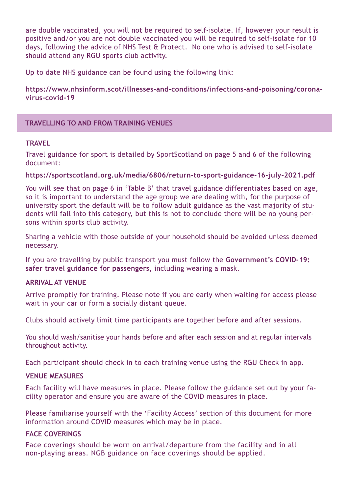are double vaccinated, you will not be required to self-isolate. If, however your result is positive and/or you are not double vaccinated you will be required to self-isolate for 10 days, following the advice of NHS Test & Protect. No one who is advised to self-isolate should attend any RGU sports club activity.

Up to date NHS guidance can be found using the following link:

**[https://www.nhsinform.scot/illnesses-and-conditions/infections-and-poisoning/corona](https://www.nhsinform.scot/illnesses-and-conditions/infections-and-poisoning/coronavirus-covid-19)virus-covid-19**

# **TRAVELLING TO AND FROM TRAINING VENUES**

## **TRAVEL**

Travel guidance for sport is detailed by SportScotland on page 5 and 6 of the following document:

## **<https://sportscotland.org.uk/media/6806/return-to-sport-guidance-16-july-2021.pdf>**

You will see that on page 6 in 'Table B' that travel guidance differentiates based on age, so it is important to understand the age group we are dealing with, for the purpose of university sport the default will be to follow adult guidance as the vast majority of students will fall into this category, but this is not to conclude there will be no young persons within sports club activity.

Sharing a vehicle with those outside of your household should be avoided unless deemed necessary.

[If you are travelling by public transport you must follow the](https://www.gov.uk/guidance/coronavirus-covid-19-safer-travel-guidance-for-passengers) **Government's COVID-19: safer travel guidance for passengers,** including wearing a mask.

## **ARRIVAL AT VENUE**

Arrive promptly for training. Please note if you are early when waiting for access please wait in your car or form a socially distant queue.

Clubs should actively limit time participants are together before and after sessions.

You should wash/sanitise your hands before and after each session and at regular intervals throughout activity.

Each participant should check in to each training venue using the RGU Check in app.

## **VENUE MEASURES**

Each facility will have measures in place. Please follow the guidance set out by your facility operator and ensure you are aware of the COVID measures in place.

Please familiarise yourself with the 'Facility Access' section of this document for more information around COVID measures which may be in place.

# **FACE COVERINGS**

Face coverings should be worn on arrival/departure from the facility and in all non-playing areas. NGB guidance on face coverings should be applied.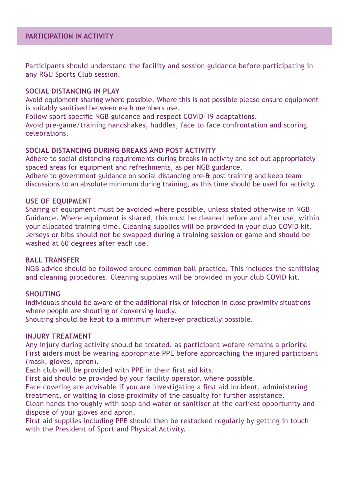Participants should understand the facility and session guidance before participating in any RGU Sports Club session.

## **SOCIAL DISTANCING IN PLAY**

Avoid equipment sharing where possible. Where this is not possible please ensure equipment is suitably sanitised between each members use.

Follow sport specific NGB guidance and respect COVID-19 adaptations.

Avoid pre-game/training handshakes, huddles, face to face confrontation and scoring celebrations.

## **SOCIAL DISTANCING DURING BREAKS AND POST ACTIVITY**

Adhere to social distancing requirements during breaks in activity and set out appropriately spaced areas for equipment and refreshments, as per NGB guidance.

Adhere to government guidance on social distancing pre-& post training and keep team discussions to an absolute minimum during training, as this time should be used for activity.

## **USE OF EQUIPMENT**

Sharing of equipment must be avoided where possible, unless stated otherwise in NGB Guidance. Where equipment is shared, this must be cleaned before and after use, within your allocated training time. Cleaning supplies will be provided in your club COVID kit. Jerseys or bibs should not be swapped during a training session or game and should be washed at 60 degrees after each use.

#### **BALL TRANSFER**

NGB advice should be followed around common ball practice. This includes the sanitising and cleaning procedures. Cleaning supplies will be provided in your club COVID kit.

## **SHOUTING**

Individuals should be aware of the additional risk of infection in close proximity situations where people are shouting or conversing loudly.

Shouting should be kept to a minimum wherever practically possible.

#### **INJURY TREATMENT**

Any injury during activity should be treated, as participant wefare remains a priority. First aiders must be wearing appropriate PPE before approaching the injured participant (mask, gloves, apron).

Each club will be provided with PPE in their first aid kits.

First aid should be provided by your facility operator, where possible.

Face covering are advisable if you are investigating a first aid incident, administering treatment, or waiting in close proximity of the casualty for further assistance.

Clean hands thoroughly with soap and water or sanitiser at the earliest opportunity and dispose of your gloves and apron.

First aid supplies including PPE should then be restocked regularly by getting in touch with the President of Sport and Physical Activity.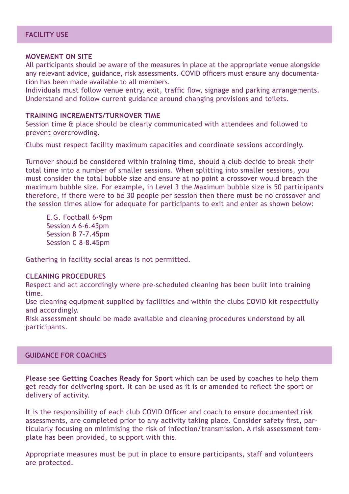#### **MOVEMENT ON SITE**

All participants should be aware of the measures in place at the appropriate venue alongside any relevant advice, guidance, risk assessments. COVID officers must ensure any documentation has been made available to all members.

Individuals must follow venue entry, exit, traffic flow, signage and parking arrangements. Understand and follow current guidance around changing provisions and toilets.

#### **TRAINING INCREMENTS/TURNOVER TIME**

Session time & place should be clearly communicated with attendees and followed to prevent overcrowding.

Clubs must respect facility maximum capacities and coordinate sessions accordingly.

Turnover should be considered within training time, should a club decide to break their total time into a number of smaller sessions. When splitting into smaller sessions, you must consider the total bubble size and ensure at no point a crossover would breach the maximum bubble size. For example, in Level 3 the Maximum bubble size is 50 participants therefore, if there were to be 30 people per session then there must be no crossover and the session times allow for adequate for participants to exit and enter as shown below:

E.G. Football 6-9pm Session A 6-6.45pm Session B 7-7.45pm Session C 8-8.45pm

Gathering in facility social areas is not permitted.

#### **CLEANING PROCEDURES**

Respect and act accordingly where pre-scheduled cleaning has been built into training time.

Use cleaning equipment supplied by facilities and within the clubs COVID kit respectfully and accordingly.

Risk assessment should be made available and cleaning procedures understood by all participants.

## **GUIDANCE FOR COACHES**

Please see **[Getting Coaches Ready for Sport](https://sportscotland.org.uk/covid-19/getting-coaches-ready-for-sport/)** which can be used by coaches to help them get ready for delivering sport. It can be used as it is or amended to reflect the sport or delivery of activity.

It is the responsibility of each club COVID Officer and coach to ensure documented risk assessments, are completed prior to any activity taking place. Consider safety first, particularly focusing on minimising the risk of infection/transmission. A risk assessment template has been provided, to support with this.

Appropriate measures must be put in place to ensure participants, staff and volunteers are protected.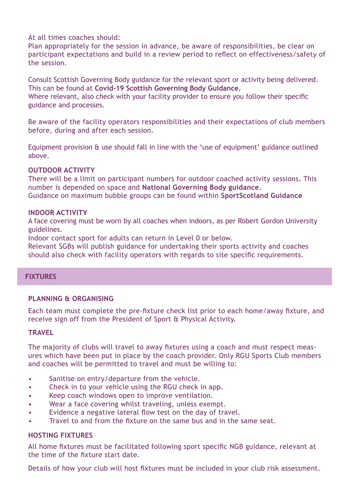At all times coaches should:

Plan appropriately for the session in advance, be aware of responsibilities, be clear on participant expectations and build in a review period to reflect on effectiveness/safety of the session.

Consult Scottish Governing Body guidance for the relevant sport or activity being delivered. This can be found at **[Covid-19 Scottish Governing Body Guidance.](https://sportscotland.org.uk/covid-19/latest-sport-and-physical-activity-guidance/)**

Where relevant, also check with your facility provider to ensure you follow their specific guidance and processes.

Be aware of the facility operators responsibilities and their expectations of club members before, during and after each session.

Equipment provision & use should fall in line with the 'use of equipment' guidance outlined above.

# **OUTDOOR ACTIVITY**

There will be a limit on participant numbers for outdoor coached activity sessions. This number is depended on space and **[National Governing Body guidance.](https://sportscotland.org.uk/covid-19/latest-sport-and-physical-activity-guidance/)** Guidance on maximum bubble groups can be found within **[SportScotland Guidance](https://sportscotland.org.uk/media/6806/return-to-sport-guidance-16-july-2021.pdf)**

# **INDOOR ACTIVITY**

A face covering must be worn by all coaches when indoors, as per Robert Gordon University guidelines.

Indoor contact sport for adults can return in Level 0 or below.

Relevant SGBs will publish guidance for undertaking their sports activity and coaches should also check with facility operators with regards to site specific requirements.

# **FIXTURES**

# **PLANNING & ORGANISING**

Each team must complete the pre-fixture check list prior to each home/away fixture, and receive sign off from the President of Sport & Physical Activity.

# **TRAVEL**

The majority of clubs will travel to away fixtures using a coach and must respect measures which have been put in place by the coach provider. Only RGU Sports Club members and coaches will be permitted to travel and must be willing to:

- Sanitise on entry/departure from the vehicle.
- Check in to your vehicle using the RGU check in app.
- Keep coach windows open to improve ventilation.
- Wear a face covering whilst traveling, unless exempt.
- Evidence a negative lateral flow test on the day of travel.
- Travel to and from the fixture on the same bus and in the same seat.

## **HOSTING FIXTURES**

All home fixtures must be facilitated following sport specific NGB guidance, relevant at the time of the fixture start date.

Details of how your club will host fixtures must be included in your club risk assessment.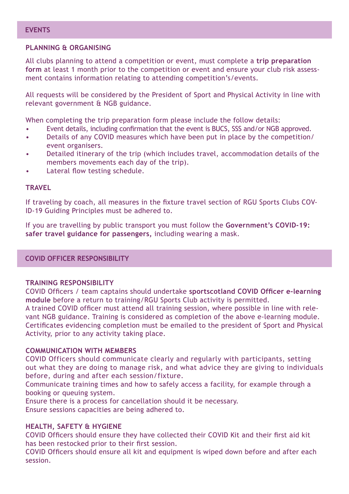# **PLANNING & ORGANISING**

All clubs planning to attend a competition or event, must complete a **trip preparation form** [at least 1 month prior to the competition or event and ensure your club risk asses](https://forms.office.com/Pages/ResponsePage.aspx?id=nKagUU8OPUu2QhLgExmGNdHnJMkQ4ZpAqgWYU9HtxWpUNk1OR1lNR0tRUjVJMkw4TkdTN0ozRE5NNS4u&wdLOR=c901BE967-F4A2-9642-92BA-7639E80EB04C)sment contains information relating to attending competition's/events.

All requests will be considered by the President of Sport and Physical Activity in line with relevant government & NGB guidance.

When completing the trip preparation form please include the follow details:

- Event details, including confirmation that the event is BUCS, SSS and/or NGB approved.
- Details of any COVID measures which have been put in place by the competition/ event organisers.
- Detailed itinerary of the trip (which includes travel, accommodation details of the members movements each day of the trip).
- Lateral flow testing schedule.

# **TRAVEL**

If traveling by coach, all measures in the fixture travel section of RGU Sports Clubs COV-ID-19 Guiding Principles must be adhered to.

[If you are travelling by public transport you must follow the](https://www.gov.uk/guidance/coronavirus-covid-19-safer-travel-guidance-for-passengers) **Government's COVID-19: safer travel guidance for passengers,** including wearing a mask.

**COVID OFFICER RESPONSIBILITY**

# **TRAINING RESPONSIBILITY**

COVID Officers / team captains should undertake **sportscotland COVID Officer e-learning module** [before a return to training/RGU Sports Club activity is permitted.](https://rise.articulate.com/share/LlEWUj-o23H_4gC1AF002jdxdrCucQC0#/) 

A trained COVID officer must attend all training session, where possible in line with relevant NGB guidance. Training is considered as completion of the above e-learning module. Certificates evidencing completion must be emailed to the president of Sport and Physical Activity, prior to any activity taking place.

## **COMMUNICATION WITH MEMBERS**

COVID Officers should communicate clearly and regularly with participants, setting out what they are doing to manage risk, and what advice they are giving to individuals before, during and after each session/fixture.

Communicate training times and how to safely access a facility, for example through a booking or queuing system.

Ensure there is a process for cancellation should it be necessary. Ensure sessions capacities are being adhered to.

# **HEALTH, SAFETY & HYGIENE**

COVID Officers should ensure they have collected their COVID Kit and their first aid kit has been restocked prior to their first session.

COVID Officers should ensure all kit and equipment is wiped down before and after each session.